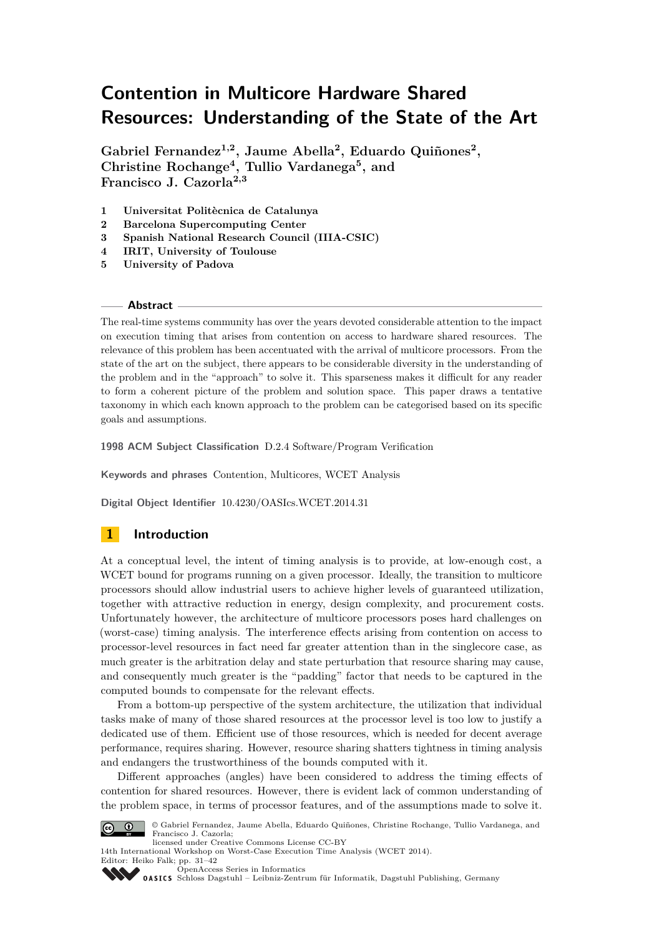# **Contention in Multicore Hardware Shared Resources: Understanding of the State of the Art**

**Gabriel Fernandez1,2, Jaume Abella<sup>2</sup> , Eduardo Quiñones<sup>2</sup> , Christine Rochange<sup>4</sup> , Tullio Vardanega<sup>5</sup> , and Francisco J. Cazorla2,3**

- **1 Universitat Politècnica de Catalunya**
- **2 Barcelona Supercomputing Center**
- **3 Spanish National Research Council (IIIA-CSIC)**
- **4 IRIT, University of Toulouse**
- **5 University of Padova**

#### **Abstract**

The real-time systems community has over the years devoted considerable attention to the impact on execution timing that arises from contention on access to hardware shared resources. The relevance of this problem has been accentuated with the arrival of multicore processors. From the state of the art on the subject, there appears to be considerable diversity in the understanding of the problem and in the "approach" to solve it. This sparseness makes it difficult for any reader to form a coherent picture of the problem and solution space. This paper draws a tentative taxonomy in which each known approach to the problem can be categorised based on its specific goals and assumptions.

**1998 ACM Subject Classification** D.2.4 Software/Program Verification

**Keywords and phrases** Contention, Multicores, WCET Analysis

**Digital Object Identifier** [10.4230/OASIcs.WCET.2014.31](http://dx.doi.org/10.4230/OASIcs.WCET.2014.31)

# **1 Introduction**

At a conceptual level, the intent of timing analysis is to provide, at low-enough cost, a WCET bound for programs running on a given processor. Ideally, the transition to multicore processors should allow industrial users to achieve higher levels of guaranteed utilization, together with attractive reduction in energy, design complexity, and procurement costs. Unfortunately however, the architecture of multicore processors poses hard challenges on (worst-case) timing analysis. The interference effects arising from contention on access to processor-level resources in fact need far greater attention than in the singlecore case, as much greater is the arbitration delay and state perturbation that resource sharing may cause, and consequently much greater is the "padding" factor that needs to be captured in the computed bounds to compensate for the relevant effects.

From a bottom-up perspective of the system architecture, the utilization that individual tasks make of many of those shared resources at the processor level is too low to justify a dedicated use of them. Efficient use of those resources, which is needed for decent average performance, requires sharing. However, resource sharing shatters tightness in timing analysis and endangers the trustworthiness of the bounds computed with it.

Different approaches (angles) have been considered to address the timing effects of contention for shared resources. However, there is evident lack of common understanding of the problem space, in terms of processor features, and of the assumptions made to solve it.



© Gabriel Fernandez, Jaume Abella, Eduardo Quiñones, Christine Rochange, Tullio Vardanega, and Francisco J. Cazorla; licensed under Creative Commons License CC-BY

14th International Workshop on Worst-Case Execution Time Analysis (WCET 2014). Editor: Heiko Falk; pp. 31[–42](#page-11-0)

[OpenAccess Series in Informatics](http://www.dagstuhl.de/oasics/)

OASICS [Schloss Dagstuhl – Leibniz-Zentrum für Informatik, Dagstuhl Publishing, Germany](http://www.dagstuhl.de/)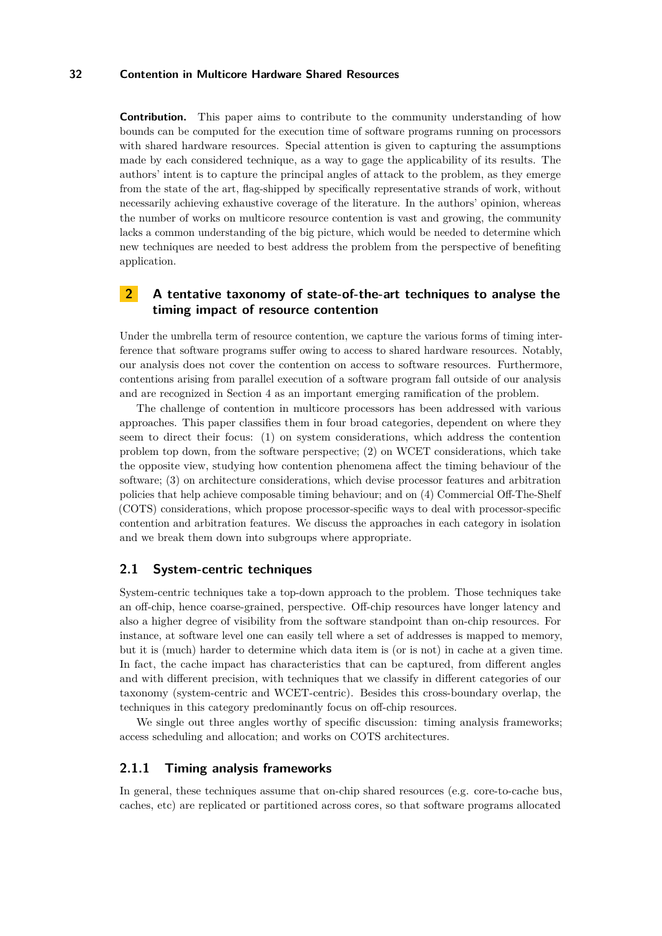**Contribution.** This paper aims to contribute to the community understanding of how bounds can be computed for the execution time of software programs running on processors with shared hardware resources. Special attention is given to capturing the assumptions made by each considered technique, as a way to gage the applicability of its results. The authors' intent is to capture the principal angles of attack to the problem, as they emerge from the state of the art, flag-shipped by specifically representative strands of work, without necessarily achieving exhaustive coverage of the literature. In the authors' opinion, whereas the number of works on multicore resource contention is vast and growing, the community lacks a common understanding of the big picture, which would be needed to determine which new techniques are needed to best address the problem from the perspective of benefiting application.

# <span id="page-1-1"></span>**2 A tentative taxonomy of state-of-the-art techniques to analyse the timing impact of resource contention**

Under the umbrella term of resource contention, we capture the various forms of timing interference that software programs suffer owing to access to shared hardware resources. Notably, our analysis does not cover the contention on access to software resources. Furthermore, contentions arising from parallel execution of a software program fall outside of our analysis and are recognized in Section [4](#page-8-0) as an important emerging ramification of the problem.

The challenge of contention in multicore processors has been addressed with various approaches. This paper classifies them in four broad categories, dependent on where they seem to direct their focus: (1) on system considerations, which address the contention problem top down, from the software perspective; (2) on WCET considerations, which take the opposite view, studying how contention phenomena affect the timing behaviour of the software; (3) on architecture considerations, which devise processor features and arbitration policies that help achieve composable timing behaviour; and on (4) Commercial Off-The-Shelf (COTS) considerations, which propose processor-specific ways to deal with processor-specific contention and arbitration features. We discuss the approaches in each category in isolation and we break them down into subgroups where appropriate.

#### <span id="page-1-0"></span>**2.1 System-centric techniques**

System-centric techniques take a top-down approach to the problem. Those techniques take an off-chip, hence coarse-grained, perspective. Off-chip resources have longer latency and also a higher degree of visibility from the software standpoint than on-chip resources. For instance, at software level one can easily tell where a set of addresses is mapped to memory, but it is (much) harder to determine which data item is (or is not) in cache at a given time. In fact, the cache impact has characteristics that can be captured, from different angles and with different precision, with techniques that we classify in different categories of our taxonomy (system-centric and WCET-centric). Besides this cross-boundary overlap, the techniques in this category predominantly focus on off-chip resources.

We single out three angles worthy of specific discussion: timing analysis frameworks; access scheduling and allocation; and works on COTS architectures.

#### **2.1.1 Timing analysis frameworks**

In general, these techniques assume that on-chip shared resources (e.g. core-to-cache bus, caches, etc) are replicated or partitioned across cores, so that software programs allocated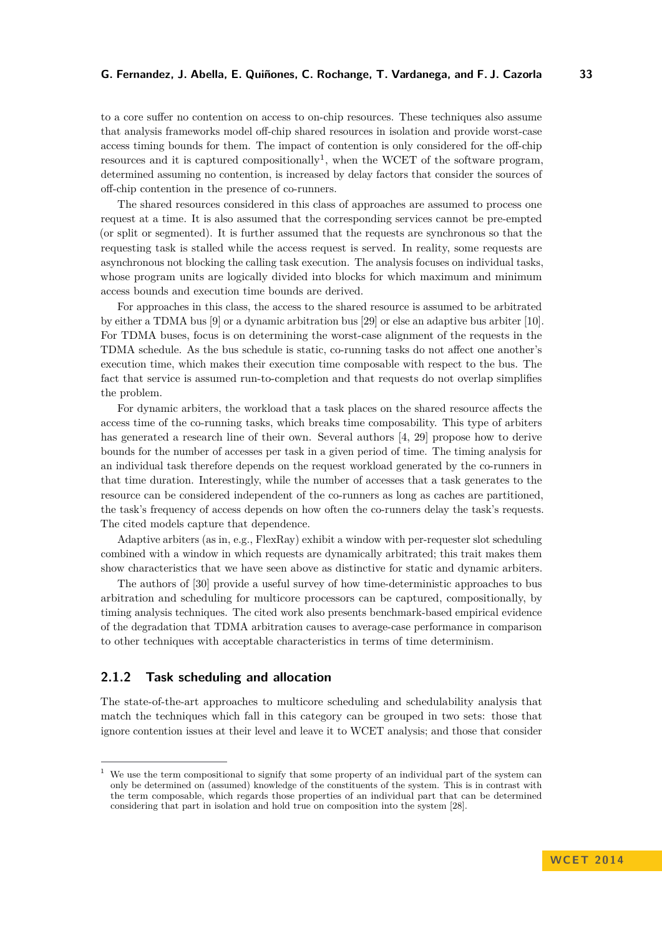to a core suffer no contention on access to on-chip resources. These techniques also assume that analysis frameworks model off-chip shared resources in isolation and provide worst-case access timing bounds for them. The impact of contention is only considered for the off-chip resources and it is captured compositionally<sup>[1](#page-2-0)</sup>, when the WCET of the software program, determined assuming no contention, is increased by delay factors that consider the sources of off-chip contention in the presence of co-runners.

The shared resources considered in this class of approaches are assumed to process one request at a time. It is also assumed that the corresponding services cannot be pre-empted (or split or segmented). It is further assumed that the requests are synchronous so that the requesting task is stalled while the access request is served. In reality, some requests are asynchronous not blocking the calling task execution. The analysis focuses on individual tasks, whose program units are logically divided into blocks for which maximum and minimum access bounds and execution time bounds are derived.

For approaches in this class, the access to the shared resource is assumed to be arbitrated by either a TDMA bus [\[9\]](#page-9-0) or a dynamic arbitration bus [\[29\]](#page-10-0) or else an adaptive bus arbiter [\[10\]](#page-9-1). For TDMA buses, focus is on determining the worst-case alignment of the requests in the TDMA schedule. As the bus schedule is static, co-running tasks do not affect one another's execution time, which makes their execution time composable with respect to the bus. The fact that service is assumed run-to-completion and that requests do not overlap simplifies the problem.

For dynamic arbiters, the workload that a task places on the shared resource affects the access time of the co-running tasks, which breaks time composability. This type of arbiters has generated a research line of their own. Several authors [\[4,](#page-9-2) [29\]](#page-10-0) propose how to derive bounds for the number of accesses per task in a given period of time. The timing analysis for an individual task therefore depends on the request workload generated by the co-runners in that time duration. Interestingly, while the number of accesses that a task generates to the resource can be considered independent of the co-runners as long as caches are partitioned, the task's frequency of access depends on how often the co-runners delay the task's requests. The cited models capture that dependence.

Adaptive arbiters (as in, e.g., FlexRay) exhibit a window with per-requester slot scheduling combined with a window in which requests are dynamically arbitrated; this trait makes them show characteristics that we have seen above as distinctive for static and dynamic arbiters.

The authors of [\[30\]](#page-10-1) provide a useful survey of how time-deterministic approaches to bus arbitration and scheduling for multicore processors can be captured, compositionally, by timing analysis techniques. The cited work also presents benchmark-based empirical evidence of the degradation that TDMA arbitration causes to average-case performance in comparison to other techniques with acceptable characteristics in terms of time determinism.

#### **2.1.2 Task scheduling and allocation**

The state-of-the-art approaches to multicore scheduling and schedulability analysis that match the techniques which fall in this category can be grouped in two sets: those that ignore contention issues at their level and leave it to WCET analysis; and those that consider

<span id="page-2-0"></span>We use the term compositional to signify that some property of an individual part of the system can only be determined on (assumed) knowledge of the constituents of the system. This is in contrast with the term composable, which regards those properties of an individual part that can be determined considering that part in isolation and hold true on composition into the system [\[28\]](#page-10-2).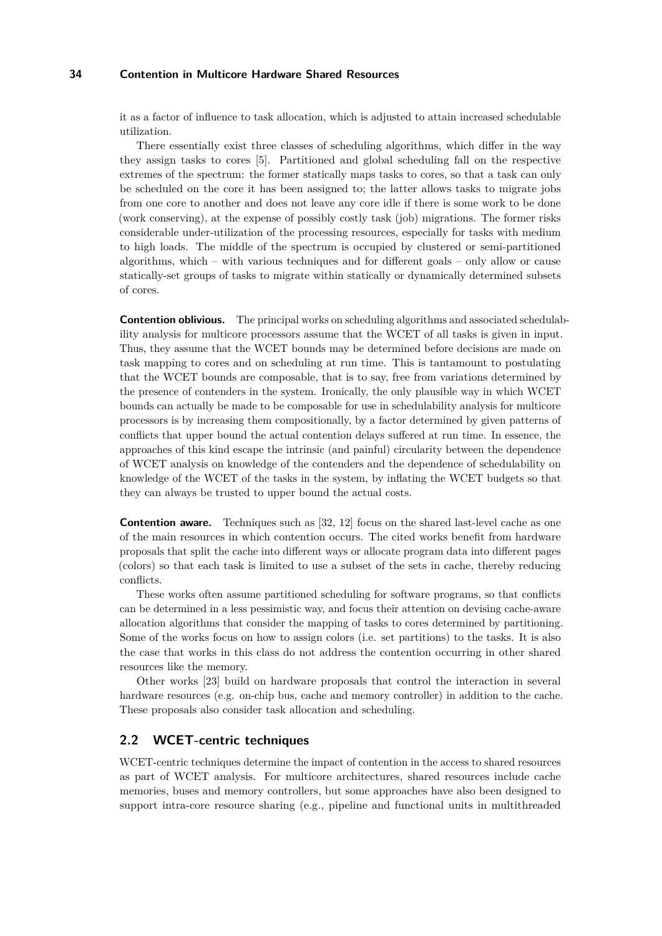it as a factor of influence to task allocation, which is adjusted to attain increased schedulable utilization.

There essentially exist three classes of scheduling algorithms, which differ in the way they assign tasks to cores [\[5\]](#page-9-3). Partitioned and global scheduling fall on the respective extremes of the spectrum: the former statically maps tasks to cores, so that a task can only be scheduled on the core it has been assigned to; the latter allows tasks to migrate jobs from one core to another and does not leave any core idle if there is some work to be done (work conserving), at the expense of possibly costly task (job) migrations. The former risks considerable under-utilization of the processing resources, especially for tasks with medium to high loads. The middle of the spectrum is occupied by clustered or semi-partitioned algorithms, which – with various techniques and for different goals – only allow or cause statically-set groups of tasks to migrate within statically or dynamically determined subsets of cores.

**Contention oblivious.** The principal works on scheduling algorithms and associated schedulability analysis for multicore processors assume that the WCET of all tasks is given in input. Thus, they assume that the WCET bounds may be determined before decisions are made on task mapping to cores and on scheduling at run time. This is tantamount to postulating that the WCET bounds are composable, that is to say, free from variations determined by the presence of contenders in the system. Ironically, the only plausible way in which WCET bounds can actually be made to be composable for use in schedulability analysis for multicore processors is by increasing them compositionally, by a factor determined by given patterns of conflicts that upper bound the actual contention delays suffered at run time. In essence, the approaches of this kind escape the intrinsic (and painful) circularity between the dependence of WCET analysis on knowledge of the contenders and the dependence of schedulability on knowledge of the WCET of the tasks in the system, by inflating the WCET budgets so that they can always be trusted to upper bound the actual costs.

**Contention aware.** Techniques such as [\[32,](#page-10-3) [12\]](#page-9-4) focus on the shared last-level cache as one of the main resources in which contention occurs. The cited works benefit from hardware proposals that split the cache into different ways or allocate program data into different pages (colors) so that each task is limited to use a subset of the sets in cache, thereby reducing conflicts.

These works often assume partitioned scheduling for software programs, so that conflicts can be determined in a less pessimistic way, and focus their attention on devising cache-aware allocation algorithms that consider the mapping of tasks to cores determined by partitioning. Some of the works focus on how to assign colors (i.e. set partitions) to the tasks. It is also the case that works in this class do not address the contention occurring in other shared resources like the memory.

Other works [\[23\]](#page-10-4) build on hardware proposals that control the interaction in several hardware resources (e.g. on-chip bus, cache and memory controller) in addition to the cache. These proposals also consider task allocation and scheduling.

#### **2.2 WCET-centric techniques**

WCET-centric techniques determine the impact of contention in the access to shared resources as part of WCET analysis. For multicore architectures, shared resources include cache memories, buses and memory controllers, but some approaches have also been designed to support intra-core resource sharing (e.g., pipeline and functional units in multithreaded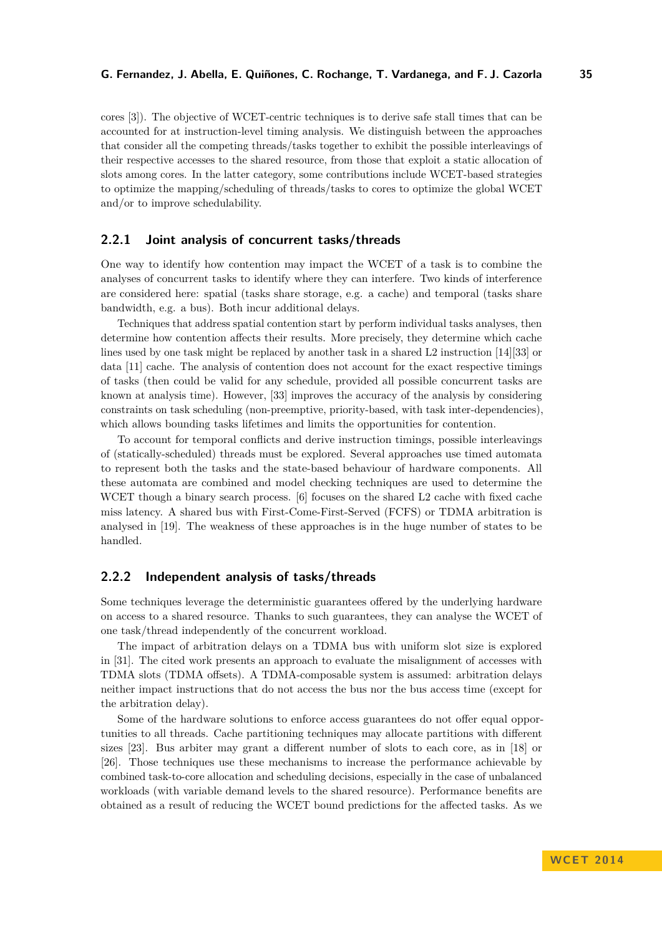cores [\[3\]](#page-9-5)). The objective of WCET-centric techniques is to derive safe stall times that can be accounted for at instruction-level timing analysis. We distinguish between the approaches that consider all the competing threads/tasks together to exhibit the possible interleavings of their respective accesses to the shared resource, from those that exploit a static allocation of slots among cores. In the latter category, some contributions include WCET-based strategies to optimize the mapping/scheduling of threads/tasks to cores to optimize the global WCET and/or to improve schedulability.

#### **2.2.1 Joint analysis of concurrent tasks/threads**

One way to identify how contention may impact the WCET of a task is to combine the analyses of concurrent tasks to identify where they can interfere. Two kinds of interference are considered here: spatial (tasks share storage, e.g. a cache) and temporal (tasks share bandwidth, e.g. a bus). Both incur additional delays.

Techniques that address spatial contention start by perform individual tasks analyses, then determine how contention affects their results. More precisely, they determine which cache lines used by one task might be replaced by another task in a shared L2 instruction [\[14\]](#page-9-6)[\[33\]](#page-10-5) or data [\[11\]](#page-9-7) cache. The analysis of contention does not account for the exact respective timings of tasks (then could be valid for any schedule, provided all possible concurrent tasks are known at analysis time). However, [\[33\]](#page-10-5) improves the accuracy of the analysis by considering constraints on task scheduling (non-preemptive, priority-based, with task inter-dependencies), which allows bounding tasks lifetimes and limits the opportunities for contention.

To account for temporal conflicts and derive instruction timings, possible interleavings of (statically-scheduled) threads must be explored. Several approaches use timed automata to represent both the tasks and the state-based behaviour of hardware components. All these automata are combined and model checking techniques are used to determine the WCET though a binary search process. [\[6\]](#page-9-8) focuses on the shared L2 cache with fixed cache miss latency. A shared bus with First-Come-First-Served (FCFS) or TDMA arbitration is analysed in [\[19\]](#page-10-6). The weakness of these approaches is in the huge number of states to be handled.

# **2.2.2 Independent analysis of tasks/threads**

Some techniques leverage the deterministic guarantees offered by the underlying hardware on access to a shared resource. Thanks to such guarantees, they can analyse the WCET of one task/thread independently of the concurrent workload.

The impact of arbitration delays on a TDMA bus with uniform slot size is explored in [\[31\]](#page-10-7). The cited work presents an approach to evaluate the misalignment of accesses with TDMA slots (TDMA offsets). A TDMA-composable system is assumed: arbitration delays neither impact instructions that do not access the bus nor the bus access time (except for the arbitration delay).

Some of the hardware solutions to enforce access guarantees do not offer equal opportunities to all threads. Cache partitioning techniques may allocate partitions with different sizes [\[23\]](#page-10-4). Bus arbiter may grant a different number of slots to each core, as in [\[18\]](#page-10-8) or [\[26\]](#page-10-9). Those techniques use these mechanisms to increase the performance achievable by combined task-to-core allocation and scheduling decisions, especially in the case of unbalanced workloads (with variable demand levels to the shared resource). Performance benefits are obtained as a result of reducing the WCET bound predictions for the affected tasks. As we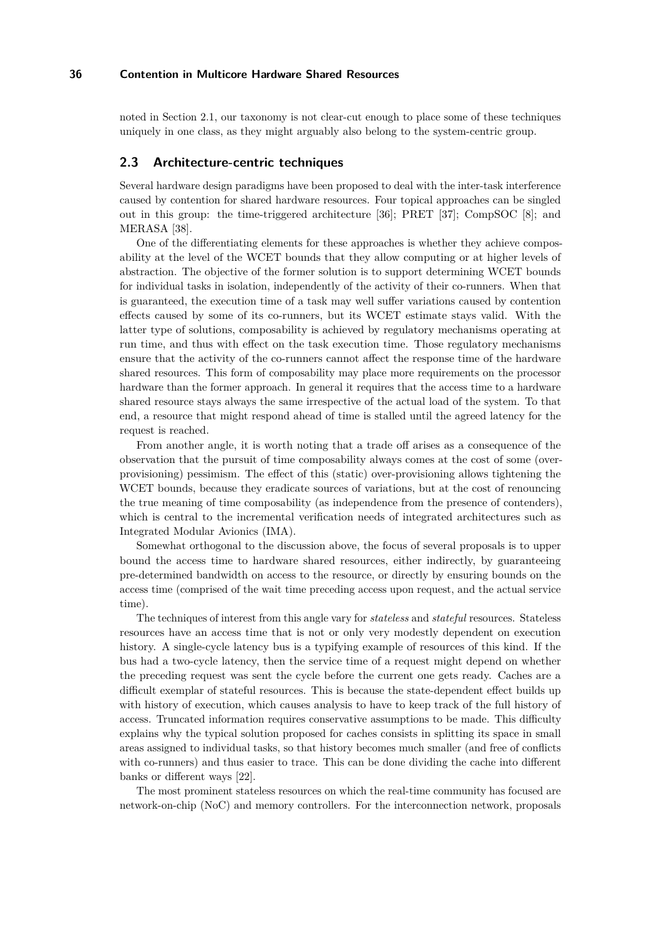noted in Section [2.1,](#page-1-0) our taxonomy is not clear-cut enough to place some of these techniques uniquely in one class, as they might arguably also belong to the system-centric group.

#### **2.3 Architecture-centric techniques**

Several hardware design paradigms have been proposed to deal with the inter-task interference caused by contention for shared hardware resources. Four topical approaches can be singled out in this group: the time-triggered architecture [\[36\]](#page-10-10); PRET [\[37\]](#page-10-11); CompSOC [\[8\]](#page-9-9); and MERASA [\[38\]](#page-10-12).

One of the differentiating elements for these approaches is whether they achieve composability at the level of the WCET bounds that they allow computing or at higher levels of abstraction. The objective of the former solution is to support determining WCET bounds for individual tasks in isolation, independently of the activity of their co-runners. When that is guaranteed, the execution time of a task may well suffer variations caused by contention effects caused by some of its co-runners, but its WCET estimate stays valid. With the latter type of solutions, composability is achieved by regulatory mechanisms operating at run time, and thus with effect on the task execution time. Those regulatory mechanisms ensure that the activity of the co-runners cannot affect the response time of the hardware shared resources. This form of composability may place more requirements on the processor hardware than the former approach. In general it requires that the access time to a hardware shared resource stays always the same irrespective of the actual load of the system. To that end, a resource that might respond ahead of time is stalled until the agreed latency for the request is reached.

From another angle, it is worth noting that a trade off arises as a consequence of the observation that the pursuit of time composability always comes at the cost of some (overprovisioning) pessimism. The effect of this (static) over-provisioning allows tightening the WCET bounds, because they eradicate sources of variations, but at the cost of renouncing the true meaning of time composability (as independence from the presence of contenders), which is central to the incremental verification needs of integrated architectures such as Integrated Modular Avionics (IMA).

Somewhat orthogonal to the discussion above, the focus of several proposals is to upper bound the access time to hardware shared resources, either indirectly, by guaranteeing pre-determined bandwidth on access to the resource, or directly by ensuring bounds on the access time (comprised of the wait time preceding access upon request, and the actual service time).

The techniques of interest from this angle vary for *stateless* and *stateful* resources. Stateless resources have an access time that is not or only very modestly dependent on execution history. A single-cycle latency bus is a typifying example of resources of this kind. If the bus had a two-cycle latency, then the service time of a request might depend on whether the preceding request was sent the cycle before the current one gets ready. Caches are a difficult exemplar of stateful resources. This is because the state-dependent effect builds up with history of execution, which causes analysis to have to keep track of the full history of access. Truncated information requires conservative assumptions to be made. This difficulty explains why the typical solution proposed for caches consists in splitting its space in small areas assigned to individual tasks, so that history becomes much smaller (and free of conflicts with co-runners) and thus easier to trace. This can be done dividing the cache into different banks or different ways [\[22\]](#page-10-13).

The most prominent stateless resources on which the real-time community has focused are network-on-chip (NoC) and memory controllers. For the interconnection network, proposals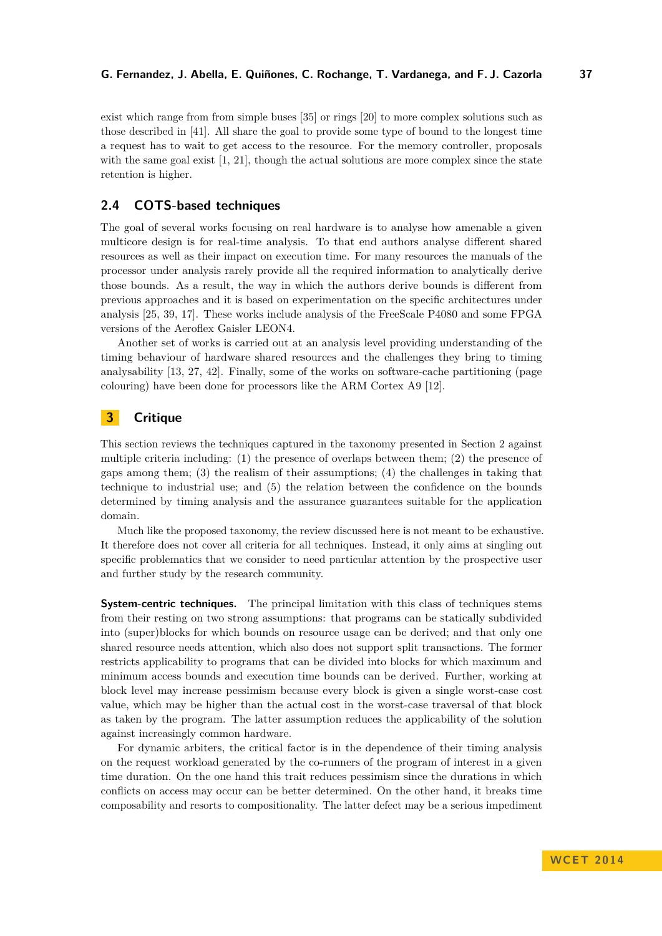exist which range from from simple buses [\[35\]](#page-10-14) or rings [\[20\]](#page-10-15) to more complex solutions such as those described in [\[41\]](#page-11-1). All share the goal to provide some type of bound to the longest time a request has to wait to get access to the resource. For the memory controller, proposals with the same goal exist [\[1,](#page-9-10) [21\]](#page-10-16), though the actual solutions are more complex since the state retention is higher.

### **2.4 COTS-based techniques**

The goal of several works focusing on real hardware is to analyse how amenable a given multicore design is for real-time analysis. To that end authors analyse different shared resources as well as their impact on execution time. For many resources the manuals of the processor under analysis rarely provide all the required information to analytically derive those bounds. As a result, the way in which the authors derive bounds is different from previous approaches and it is based on experimentation on the specific architectures under analysis [\[25,](#page-10-17) [39,](#page-10-18) [17\]](#page-10-19). These works include analysis of the FreeScale P4080 and some FPGA versions of the Aeroflex Gaisler LEON4.

Another set of works is carried out at an analysis level providing understanding of the timing behaviour of hardware shared resources and the challenges they bring to timing analysability [\[13,](#page-9-11) [27,](#page-10-20) [42\]](#page-11-2). Finally, some of the works on software-cache partitioning (page colouring) have been done for processors like the ARM Cortex A9 [\[12\]](#page-9-4).

# **3 Critique**

This section reviews the techniques captured in the taxonomy presented in Section [2](#page-1-1) against multiple criteria including: (1) the presence of overlaps between them; (2) the presence of gaps among them; (3) the realism of their assumptions; (4) the challenges in taking that technique to industrial use; and (5) the relation between the confidence on the bounds determined by timing analysis and the assurance guarantees suitable for the application domain.

Much like the proposed taxonomy, the review discussed here is not meant to be exhaustive. It therefore does not cover all criteria for all techniques. Instead, it only aims at singling out specific problematics that we consider to need particular attention by the prospective user and further study by the research community.

**System-centric techniques.** The principal limitation with this class of techniques stems from their resting on two strong assumptions: that programs can be statically subdivided into (super)blocks for which bounds on resource usage can be derived; and that only one shared resource needs attention, which also does not support split transactions. The former restricts applicability to programs that can be divided into blocks for which maximum and minimum access bounds and execution time bounds can be derived. Further, working at block level may increase pessimism because every block is given a single worst-case cost value, which may be higher than the actual cost in the worst-case traversal of that block as taken by the program. The latter assumption reduces the applicability of the solution against increasingly common hardware.

For dynamic arbiters, the critical factor is in the dependence of their timing analysis on the request workload generated by the co-runners of the program of interest in a given time duration. On the one hand this trait reduces pessimism since the durations in which conflicts on access may occur can be better determined. On the other hand, it breaks time composability and resorts to compositionality. The latter defect may be a serious impediment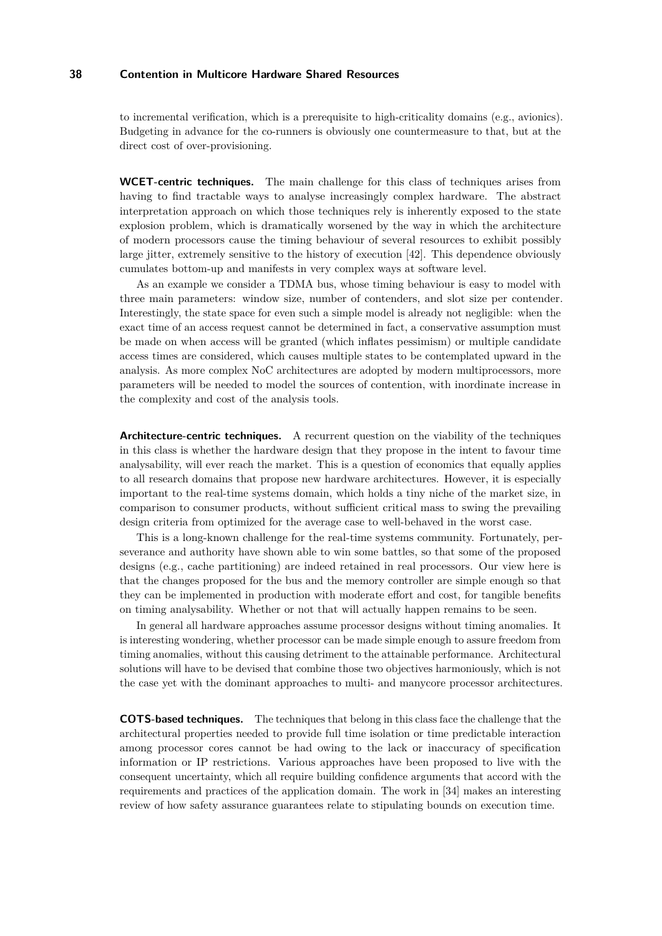to incremental verification, which is a prerequisite to high-criticality domains (e.g., avionics). Budgeting in advance for the co-runners is obviously one countermeasure to that, but at the direct cost of over-provisioning.

**WCET-centric techniques.** The main challenge for this class of techniques arises from having to find tractable ways to analyse increasingly complex hardware. The abstract interpretation approach on which those techniques rely is inherently exposed to the state explosion problem, which is dramatically worsened by the way in which the architecture of modern processors cause the timing behaviour of several resources to exhibit possibly large jitter, extremely sensitive to the history of execution [\[42\]](#page-11-2). This dependence obviously cumulates bottom-up and manifests in very complex ways at software level.

As an example we consider a TDMA bus, whose timing behaviour is easy to model with three main parameters: window size, number of contenders, and slot size per contender. Interestingly, the state space for even such a simple model is already not negligible: when the exact time of an access request cannot be determined in fact, a conservative assumption must be made on when access will be granted (which inflates pessimism) or multiple candidate access times are considered, which causes multiple states to be contemplated upward in the analysis. As more complex NoC architectures are adopted by modern multiprocessors, more parameters will be needed to model the sources of contention, with inordinate increase in the complexity and cost of the analysis tools.

**Architecture-centric techniques.** A recurrent question on the viability of the techniques in this class is whether the hardware design that they propose in the intent to favour time analysability, will ever reach the market. This is a question of economics that equally applies to all research domains that propose new hardware architectures. However, it is especially important to the real-time systems domain, which holds a tiny niche of the market size, in comparison to consumer products, without sufficient critical mass to swing the prevailing design criteria from optimized for the average case to well-behaved in the worst case.

This is a long-known challenge for the real-time systems community. Fortunately, perseverance and authority have shown able to win some battles, so that some of the proposed designs (e.g., cache partitioning) are indeed retained in real processors. Our view here is that the changes proposed for the bus and the memory controller are simple enough so that they can be implemented in production with moderate effort and cost, for tangible benefits on timing analysability. Whether or not that will actually happen remains to be seen.

In general all hardware approaches assume processor designs without timing anomalies. It is interesting wondering, whether processor can be made simple enough to assure freedom from timing anomalies, without this causing detriment to the attainable performance. Architectural solutions will have to be devised that combine those two objectives harmoniously, which is not the case yet with the dominant approaches to multi- and manycore processor architectures.

**COTS-based techniques.** The techniques that belong in this class face the challenge that the architectural properties needed to provide full time isolation or time predictable interaction among processor cores cannot be had owing to the lack or inaccuracy of specification information or IP restrictions. Various approaches have been proposed to live with the consequent uncertainty, which all require building confidence arguments that accord with the requirements and practices of the application domain. The work in [\[34\]](#page-10-21) makes an interesting review of how safety assurance guarantees relate to stipulating bounds on execution time.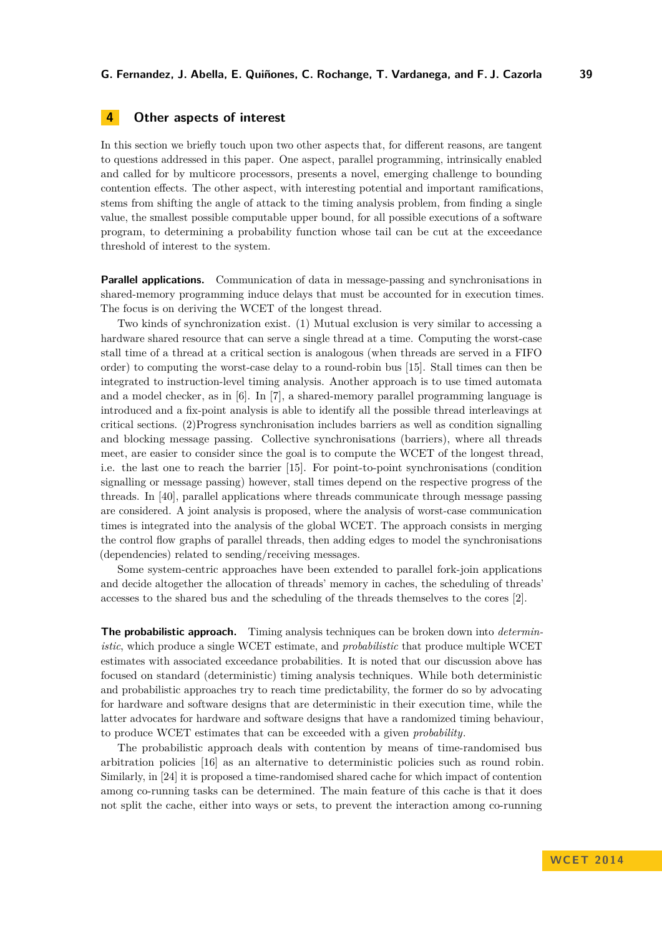# <span id="page-8-0"></span>**4 Other aspects of interest**

In this section we briefly touch upon two other aspects that, for different reasons, are tangent to questions addressed in this paper. One aspect, parallel programming, intrinsically enabled and called for by multicore processors, presents a novel, emerging challenge to bounding contention effects. The other aspect, with interesting potential and important ramifications, stems from shifting the angle of attack to the timing analysis problem, from finding a single value, the smallest possible computable upper bound, for all possible executions of a software program, to determining a probability function whose tail can be cut at the exceedance threshold of interest to the system.

**Parallel applications.** Communication of data in message-passing and synchronisations in shared-memory programming induce delays that must be accounted for in execution times. The focus is on deriving the WCET of the longest thread.

Two kinds of synchronization exist. (1) Mutual exclusion is very similar to accessing a hardware shared resource that can serve a single thread at a time. Computing the worst-case stall time of a thread at a critical section is analogous (when threads are served in a FIFO order) to computing the worst-case delay to a round-robin bus [\[15\]](#page-10-22). Stall times can then be integrated to instruction-level timing analysis. Another approach is to use timed automata and a model checker, as in [\[6\]](#page-9-8). In [\[7\]](#page-9-12), a shared-memory parallel programming language is introduced and a fix-point analysis is able to identify all the possible thread interleavings at critical sections. (2)Progress synchronisation includes barriers as well as condition signalling and blocking message passing. Collective synchronisations (barriers), where all threads meet, are easier to consider since the goal is to compute the WCET of the longest thread, i.e. the last one to reach the barrier [\[15\]](#page-10-22). For point-to-point synchronisations (condition signalling or message passing) however, stall times depend on the respective progress of the threads. In [\[40\]](#page-10-23), parallel applications where threads communicate through message passing are considered. A joint analysis is proposed, where the analysis of worst-case communication times is integrated into the analysis of the global WCET. The approach consists in merging the control flow graphs of parallel threads, then adding edges to model the synchronisations (dependencies) related to sending/receiving messages.

Some system-centric approaches have been extended to parallel fork-join applications and decide altogether the allocation of threads' memory in caches, the scheduling of threads' accesses to the shared bus and the scheduling of the threads themselves to the cores [\[2\]](#page-9-13).

**The probabilistic approach.** Timing analysis techniques can be broken down into *deterministic*, which produce a single WCET estimate, and *probabilistic* that produce multiple WCET estimates with associated exceedance probabilities. It is noted that our discussion above has focused on standard (deterministic) timing analysis techniques. While both deterministic and probabilistic approaches try to reach time predictability, the former do so by advocating for hardware and software designs that are deterministic in their execution time, while the latter advocates for hardware and software designs that have a randomized timing behaviour, to produce WCET estimates that can be exceeded with a given *probability*.

The probabilistic approach deals with contention by means of time-randomised bus arbitration policies [\[16\]](#page-10-24) as an alternative to deterministic policies such as round robin. Similarly, in [\[24\]](#page-10-25) it is proposed a time-randomised shared cache for which impact of contention among co-running tasks can be determined. The main feature of this cache is that it does not split the cache, either into ways or sets, to prevent the interaction among co-running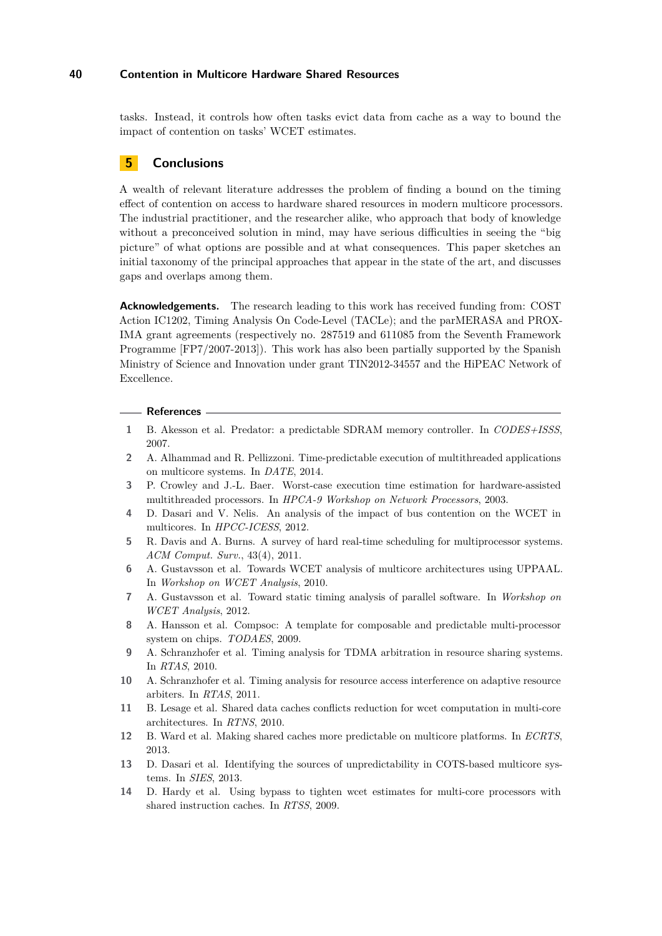tasks. Instead, it controls how often tasks evict data from cache as a way to bound the impact of contention on tasks' WCET estimates.

## **5 Conclusions**

A wealth of relevant literature addresses the problem of finding a bound on the timing effect of contention on access to hardware shared resources in modern multicore processors. The industrial practitioner, and the researcher alike, who approach that body of knowledge without a preconceived solution in mind, may have serious difficulties in seeing the "big picture" of what options are possible and at what consequences. This paper sketches an initial taxonomy of the principal approaches that appear in the state of the art, and discusses gaps and overlaps among them.

**Acknowledgements.** The research leading to this work has received funding from: COST Action IC1202, Timing Analysis On Code-Level (TACLe); and the parMERASA and PROX-IMA grant agreements (respectively no. 287519 and 611085 from the Seventh Framework Programme [FP7/2007-2013]). This work has also been partially supported by the Spanish Ministry of Science and Innovation under grant TIN2012-34557 and the HiPEAC Network of Excellence.

#### **References**

- <span id="page-9-10"></span>**1** B. Akesson et al. Predator: a predictable SDRAM memory controller. In *CODES+ISSS*, 2007.
- <span id="page-9-13"></span>**2** A. Alhammad and R. Pellizzoni. Time-predictable execution of multithreaded applications on multicore systems. In *DATE*, 2014.
- <span id="page-9-5"></span>**3** P. Crowley and J.-L. Baer. Worst-case execution time estimation for hardware-assisted multithreaded processors. In *HPCA-9 Workshop on Network Processors*, 2003.
- <span id="page-9-2"></span>**4** D. Dasari and V. Nelis. An analysis of the impact of bus contention on the WCET in multicores. In *HPCC-ICESS*, 2012.
- <span id="page-9-3"></span>**5** R. Davis and A. Burns. A survey of hard real-time scheduling for multiprocessor systems. *ACM Comput. Surv.*, 43(4), 2011.
- <span id="page-9-8"></span>**6** A. Gustavsson et al. Towards WCET analysis of multicore architectures using UPPAAL. In *Workshop on WCET Analysis*, 2010.
- <span id="page-9-12"></span>**7** A. Gustavsson et al. Toward static timing analysis of parallel software. In *Workshop on WCET Analysis*, 2012.
- <span id="page-9-9"></span>**8** A. Hansson et al. Compsoc: A template for composable and predictable multi-processor system on chips. *TODAES*, 2009.
- <span id="page-9-0"></span>**9** A. Schranzhofer et al. Timing analysis for TDMA arbitration in resource sharing systems. In *RTAS*, 2010.
- <span id="page-9-1"></span>**10** A. Schranzhofer et al. Timing analysis for resource access interference on adaptive resource arbiters. In *RTAS*, 2011.
- <span id="page-9-7"></span>**11** B. Lesage et al. Shared data caches conflicts reduction for wcet computation in multi-core architectures. In *RTNS*, 2010.
- <span id="page-9-4"></span>**12** B. Ward et al. Making shared caches more predictable on multicore platforms. In *ECRTS*, 2013.
- <span id="page-9-11"></span>**13** D. Dasari et al. Identifying the sources of unpredictability in COTS-based multicore systems. In *SIES*, 2013.
- <span id="page-9-6"></span>**14** D. Hardy et al. Using bypass to tighten wcet estimates for multi-core processors with shared instruction caches. In *RTSS*, 2009.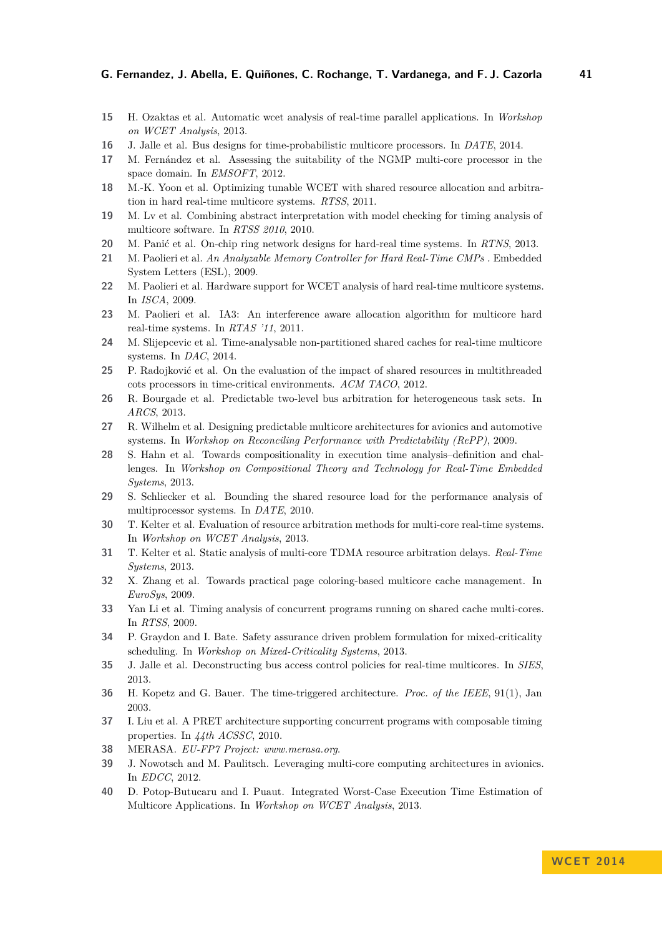- <span id="page-10-22"></span>**15** H. Ozaktas et al. Automatic wcet analysis of real-time parallel applications. In *Workshop on WCET Analysis*, 2013.
- <span id="page-10-24"></span>**16** J. Jalle et al. Bus designs for time-probabilistic multicore processors. In *DATE*, 2014.
- <span id="page-10-19"></span>**17** M. Fernández et al. Assessing the suitability of the NGMP multi-core processor in the space domain. In *EMSOFT*, 2012.
- <span id="page-10-8"></span>**18** M.-K. Yoon et al. Optimizing tunable WCET with shared resource allocation and arbitration in hard real-time multicore systems. *RTSS*, 2011.
- <span id="page-10-6"></span>**19** M. Lv et al. Combining abstract interpretation with model checking for timing analysis of multicore software. In *RTSS 2010*, 2010.
- <span id="page-10-15"></span>**20** M. Panić et al. On-chip ring network designs for hard-real time systems. In *RTNS*, 2013.
- <span id="page-10-16"></span>**21** M. Paolieri et al. *An Analyzable Memory Controller for Hard Real-Time CMPs .* Embedded System Letters (ESL), 2009.
- <span id="page-10-13"></span>**22** M. Paolieri et al. Hardware support for WCET analysis of hard real-time multicore systems. In *ISCA*, 2009.
- <span id="page-10-4"></span>**23** M. Paolieri et al. IA3: An interference aware allocation algorithm for multicore hard real-time systems. In *RTAS '11*, 2011.
- <span id="page-10-25"></span>**24** M. Slijepcevic et al. Time-analysable non-partitioned shared caches for real-time multicore systems. In *DAC*, 2014.
- <span id="page-10-17"></span>**25** P. Radojković et al. On the evaluation of the impact of shared resources in multithreaded cots processors in time-critical environments. *ACM TACO*, 2012.
- <span id="page-10-9"></span>**26** R. Bourgade et al. Predictable two-level bus arbitration for heterogeneous task sets. In *ARCS*, 2013.
- <span id="page-10-20"></span>**27** R. Wilhelm et al. Designing predictable multicore architectures for avionics and automotive systems. In *Workshop on Reconciling Performance with Predictability (RePP)*, 2009.
- <span id="page-10-2"></span>**28** S. Hahn et al. Towards compositionality in execution time analysis–definition and challenges. In *Workshop on Compositional Theory and Technology for Real-Time Embedded Systems*, 2013.
- <span id="page-10-0"></span>**29** S. Schliecker et al. Bounding the shared resource load for the performance analysis of multiprocessor systems. In *DATE*, 2010.
- <span id="page-10-1"></span>**30** T. Kelter et al. Evaluation of resource arbitration methods for multi-core real-time systems. In *Workshop on WCET Analysis*, 2013.
- <span id="page-10-7"></span>**31** T. Kelter et al. Static analysis of multi-core TDMA resource arbitration delays. *Real-Time Systems*, 2013.
- <span id="page-10-3"></span>**32** X. Zhang et al. Towards practical page coloring-based multicore cache management. In *EuroSys*, 2009.
- <span id="page-10-5"></span>**33** Yan Li et al. Timing analysis of concurrent programs running on shared cache multi-cores. In *RTSS*, 2009.
- <span id="page-10-21"></span>**34** P. Graydon and I. Bate. Safety assurance driven problem formulation for mixed-criticality scheduling. In *Workshop on Mixed-Criticality Systems*, 2013.
- <span id="page-10-14"></span>**35** J. Jalle et al. Deconstructing bus access control policies for real-time multicores. In *SIES*, 2013.
- <span id="page-10-10"></span>**36** H. Kopetz and G. Bauer. The time-triggered architecture. *Proc. of the IEEE*, 91(1), Jan 2003.
- <span id="page-10-11"></span>**37** I. Liu et al. A PRET architecture supporting concurrent programs with composable timing properties. In *44th ACSSC*, 2010.
- <span id="page-10-12"></span>**38** MERASA. *EU-FP7 Project: www.merasa.org*.
- <span id="page-10-18"></span>**39** J. Nowotsch and M. Paulitsch. Leveraging multi-core computing architectures in avionics. In *EDCC*, 2012.
- <span id="page-10-23"></span>**40** D. Potop-Butucaru and I. Puaut. Integrated Worst-Case Execution Time Estimation of Multicore Applications. In *Workshop on WCET Analysis*, 2013.